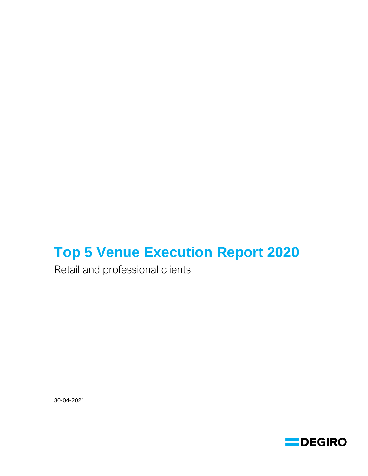# **Top 5 Venue Execution Report 2020**

Retail and professional clients

30-04-2021

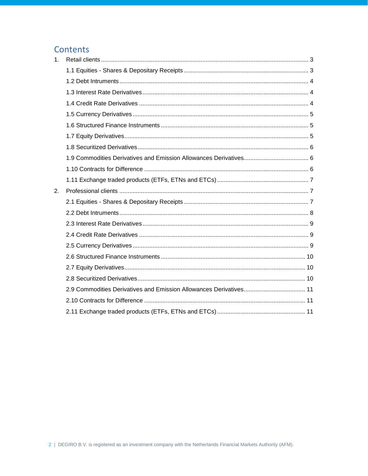# Contents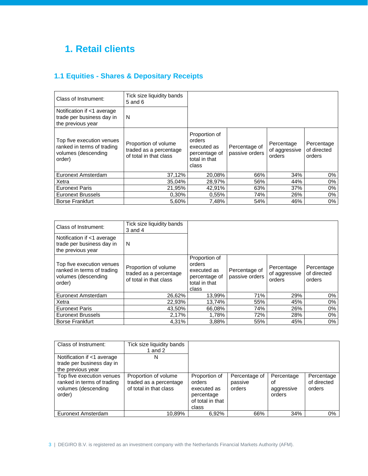# <span id="page-2-0"></span>**1. Retail clients**

# <span id="page-2-1"></span>**1.1 Equities - Shares & Depositary Receipts**

| Class of Instrument:                                                                     | Tick size liquidity bands<br>$5$ and $6$                                 |                                                                                   |                                 |                                       |                                     |
|------------------------------------------------------------------------------------------|--------------------------------------------------------------------------|-----------------------------------------------------------------------------------|---------------------------------|---------------------------------------|-------------------------------------|
| Notification if <1 average<br>trade per business day in<br>the previous year             | N                                                                        |                                                                                   |                                 |                                       |                                     |
| Top five execution venues<br>ranked in terms of trading<br>volumes (descending<br>order) | Proportion of volume<br>traded as a percentage<br>of total in that class | Proportion of<br>orders<br>executed as<br>percentage of<br>total in that<br>class | Percentage of<br>passive orders | Percentage<br>of aggressive<br>orders | Percentage<br>of directed<br>orders |
| Euronext Amsterdam                                                                       | 37,12%                                                                   | 20,08%                                                                            | 66%                             | 34%                                   | 0%                                  |
| Xetra                                                                                    | 35,04%                                                                   | 28,97%                                                                            | 56%                             | 44%                                   | 0%                                  |
| <b>Euronext Paris</b>                                                                    | 21,95%                                                                   | 42.91%                                                                            | 63%                             | 37%                                   | 0%                                  |
| <b>Euronext Brussels</b>                                                                 | 0,30%                                                                    | 0.55%                                                                             | 74%                             | 26%                                   | 0%                                  |
| <b>Borse Frankfurt</b>                                                                   | 5.60%                                                                    | 7,48%                                                                             | 54%                             | 46%                                   | $0\%$                               |

| Class of Instrument:                                                                     | Tick size liquidity bands<br>$3$ and $4$                                 |                                                                                   |                                 |                                       |                                     |
|------------------------------------------------------------------------------------------|--------------------------------------------------------------------------|-----------------------------------------------------------------------------------|---------------------------------|---------------------------------------|-------------------------------------|
| Notification if <1 average<br>trade per business day in<br>the previous year             | N                                                                        |                                                                                   |                                 |                                       |                                     |
| Top five execution venues<br>ranked in terms of trading<br>volumes (descending<br>order) | Proportion of volume<br>traded as a percentage<br>of total in that class | Proportion of<br>orders<br>executed as<br>percentage of<br>total in that<br>class | Percentage of<br>passive orders | Percentage<br>of aggressive<br>orders | Percentage<br>of directed<br>orders |
| Euronext Amsterdam                                                                       | 26,62%                                                                   | 13,99%                                                                            | 71%                             | 29%                                   | 0%                                  |
| Xetra                                                                                    | 22,93%                                                                   | 13.74%                                                                            | 55%                             | 45%                                   | $0\%$                               |
| <b>Euronext Paris</b>                                                                    | 43,50%                                                                   | 66,08%                                                                            | 74%                             | 26%                                   | $0\%$                               |
| <b>Euronext Brussels</b>                                                                 | 2,17%                                                                    | 1,78%                                                                             | 72%                             | 28%                                   | $0\%$                               |
| <b>Borse Frankfurt</b>                                                                   | 4.31%                                                                    | 3.88%                                                                             | 55%                             | 45%                                   | $0\%$                               |

| Class of Instrument:                                                                     | Tick size liquidity bands<br>1 and $2$                                   |                                                                                   |                                    |                                          |                                     |
|------------------------------------------------------------------------------------------|--------------------------------------------------------------------------|-----------------------------------------------------------------------------------|------------------------------------|------------------------------------------|-------------------------------------|
| Notification if <1 average<br>trade per business day in<br>the previous year             | Ν                                                                        |                                                                                   |                                    |                                          |                                     |
| Top five execution venues<br>ranked in terms of trading<br>volumes (descending<br>order) | Proportion of volume<br>traded as a percentage<br>of total in that class | Proportion of<br>orders<br>executed as<br>percentage<br>of total in that<br>class | Percentage of<br>passive<br>orders | Percentage<br>οf<br>aggressive<br>orders | Percentage<br>of directed<br>orders |
| Euronext Amsterdam                                                                       | 10.89%                                                                   | 6.92%                                                                             | 66%                                | 34%                                      | $0\%$                               |

3 | DEGIRO B.V. is registered as an investment company with the Netherlands Financial Markets Authority (AFM).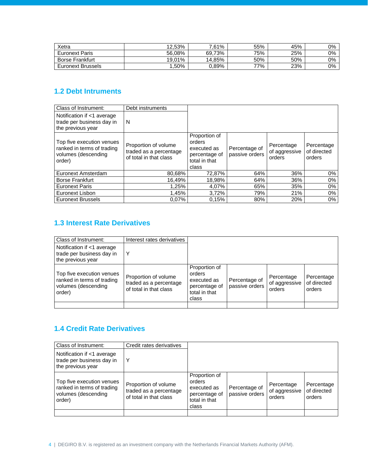| Xetra                    | 12.53% | 7.61%  | 55% | 45% | 0% |
|--------------------------|--------|--------|-----|-----|----|
| <b>Euronext Paris</b>    | 56.08% | 69.73% | 75% | 25% | 0% |
| <b>Borse Frankfurt</b>   | 19.01% | 14.85% | 50% | 50% | 0% |
| <b>Euronext Brussels</b> | .50%   | 0.89%  | 77% | 23% | 0% |

### <span id="page-3-0"></span>**1.2 Debt Intruments**

| Class of Instrument:                                                                     | Debt instruments                                                         |                                                                                   |                                 |                                       |                                     |
|------------------------------------------------------------------------------------------|--------------------------------------------------------------------------|-----------------------------------------------------------------------------------|---------------------------------|---------------------------------------|-------------------------------------|
| Notification if <1 average<br>trade per business day in<br>the previous year             | N                                                                        |                                                                                   |                                 |                                       |                                     |
| Top five execution venues<br>ranked in terms of trading<br>volumes (descending<br>order) | Proportion of volume<br>traded as a percentage<br>of total in that class | Proportion of<br>orders<br>executed as<br>percentage of<br>total in that<br>class | Percentage of<br>passive orders | Percentage<br>of aggressive<br>orders | Percentage<br>of directed<br>orders |
| Euronext Amsterdam                                                                       | 80,68%                                                                   | 72,87%                                                                            | 64%                             | 36%                                   | 0%                                  |
| <b>Borse Frankfurt</b>                                                                   | 16.49%                                                                   | 18,98%                                                                            | 64%                             | 36%                                   | 0%                                  |
| <b>Euronext Paris</b>                                                                    | 1.25%                                                                    | 4,07%                                                                             | 65%                             | 35%                                   | 0%                                  |
| Euronext Lisbon                                                                          | 1,45%                                                                    | 3,72%                                                                             | 79%                             | 21%                                   | 0%                                  |
| <b>Euronext Brussels</b>                                                                 | 0.07%                                                                    | 0.15%                                                                             | 80%                             | 20%                                   | 0%                                  |

### <span id="page-3-1"></span>**1.3 Interest Rate Derivatives**

| Class of Instrument:                                                                     | Interest rates derivatives                                               |                                                                                   |                                 |                                       |                                     |
|------------------------------------------------------------------------------------------|--------------------------------------------------------------------------|-----------------------------------------------------------------------------------|---------------------------------|---------------------------------------|-------------------------------------|
| Notification if <1 average<br>trade per business day in<br>the previous year             |                                                                          |                                                                                   |                                 |                                       |                                     |
| Top five execution venues<br>ranked in terms of trading<br>volumes (descending<br>order) | Proportion of volume<br>traded as a percentage<br>of total in that class | Proportion of<br>orders<br>executed as<br>percentage of<br>total in that<br>class | Percentage of<br>passive orders | Percentage<br>of aggressive<br>orders | Percentage<br>of directed<br>orders |
|                                                                                          |                                                                          |                                                                                   |                                 |                                       |                                     |

### <span id="page-3-2"></span>**1.4 Credit Rate Derivatives**

| Class of Instrument:                                                                     | Credit rates derivatives                                                 |                                                                                   |                                 |                                       |                                     |
|------------------------------------------------------------------------------------------|--------------------------------------------------------------------------|-----------------------------------------------------------------------------------|---------------------------------|---------------------------------------|-------------------------------------|
| Notification if <1 average<br>trade per business day in<br>the previous year             | Υ                                                                        |                                                                                   |                                 |                                       |                                     |
| Top five execution venues<br>ranked in terms of trading<br>volumes (descending<br>order) | Proportion of volume<br>traded as a percentage<br>of total in that class | Proportion of<br>orders<br>executed as<br>percentage of<br>total in that<br>class | Percentage of<br>passive orders | Percentage<br>of aggressive<br>orders | Percentage<br>of directed<br>orders |
|                                                                                          |                                                                          |                                                                                   |                                 |                                       |                                     |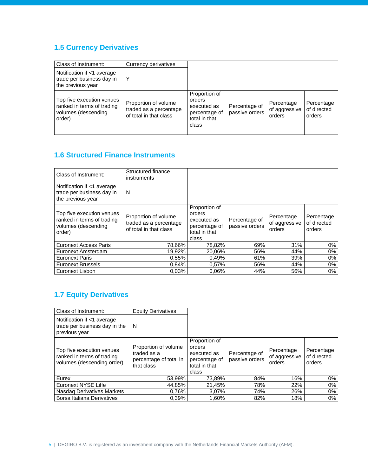### <span id="page-4-0"></span>**1.5 Currency Derivatives**

| Class of Instrument:                                                                     | Currency derivatives                                                     |                                                                                   |                                 |                                       |                                     |
|------------------------------------------------------------------------------------------|--------------------------------------------------------------------------|-----------------------------------------------------------------------------------|---------------------------------|---------------------------------------|-------------------------------------|
| Notification if <1 average<br>trade per business day in<br>the previous year             | Υ                                                                        |                                                                                   |                                 |                                       |                                     |
| Top five execution venues<br>ranked in terms of trading<br>volumes (descending<br>order) | Proportion of volume<br>traded as a percentage<br>of total in that class | Proportion of<br>orders<br>executed as<br>percentage of<br>total in that<br>class | Percentage of<br>passive orders | Percentage<br>of aggressive<br>orders | Percentage<br>of directed<br>orders |
|                                                                                          |                                                                          |                                                                                   |                                 |                                       |                                     |

### <span id="page-4-1"></span>**1.6 Structured Finance Instruments**

| Class of Instrument:                                                                     | Structured finance<br>instruments                                        |                                                                                   |                                 |                                       |                                     |
|------------------------------------------------------------------------------------------|--------------------------------------------------------------------------|-----------------------------------------------------------------------------------|---------------------------------|---------------------------------------|-------------------------------------|
| Notification if <1 average<br>trade per business day in<br>the previous year             | N                                                                        |                                                                                   |                                 |                                       |                                     |
| Top five execution venues<br>ranked in terms of trading<br>volumes (descending<br>order) | Proportion of volume<br>traded as a percentage<br>of total in that class | Proportion of<br>orders<br>executed as<br>percentage of<br>total in that<br>class | Percentage of<br>passive orders | Percentage<br>of aggressive<br>orders | Percentage<br>of directed<br>orders |
| <b>Euronext Access Paris</b>                                                             | 78,66%                                                                   | 78,82%                                                                            | 69%                             | 31%                                   | 0%                                  |
| Euronext Amsterdam                                                                       | 19.92%                                                                   | 20,06%                                                                            | 56%                             | 44%                                   | 0%                                  |
| <b>Euronext Paris</b>                                                                    | 0,55%                                                                    | 0,49%                                                                             | 61%                             | 39%                                   | 0%                                  |
| <b>Euronext Brussels</b>                                                                 | 0.84%                                                                    | 0.57%                                                                             | 56%                             | 44%                                   | 0%                                  |
| Euronext Lisbon                                                                          | 0.03%                                                                    | 0.06%                                                                             | 44%                             | 56%                                   | $0\%$                               |

### <span id="page-4-2"></span>**1.7 Equity Derivatives**

| Class of Instrument:                                                                  | <b>Equity Derivatives</b>                                                   |                                                                                   |                                 |                                       |                                     |
|---------------------------------------------------------------------------------------|-----------------------------------------------------------------------------|-----------------------------------------------------------------------------------|---------------------------------|---------------------------------------|-------------------------------------|
| Notification if <1 average<br>trade per business day in the<br>previous year          | N                                                                           |                                                                                   |                                 |                                       |                                     |
| Top five execution venues<br>ranked in terms of trading<br>volumes (descending order) | Proportion of volume<br>traded as a<br>percentage of total in<br>that class | Proportion of<br>orders<br>executed as<br>percentage of<br>total in that<br>class | Percentage of<br>passive orders | Percentage<br>of aggressive<br>orders | Percentage<br>of directed<br>orders |
| Eurex                                                                                 | 53,99%                                                                      | 73.89%                                                                            | 84%                             | 16%                                   | 0%                                  |
| Euronext NYSE Liffe                                                                   | 44,85%                                                                      | 21,45%                                                                            | 78%                             | 22%                                   | $0\%$                               |
| Nasdag Derivatives Markets                                                            | 0.76%                                                                       | 3.07%                                                                             | 74%                             | 26%                                   | 0%                                  |
| Borsa Italiana Derivatives                                                            | 0.39%                                                                       | 1.60%                                                                             | 82%                             | 18%                                   | 0%                                  |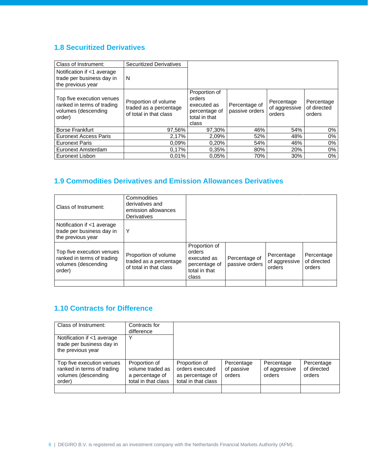### <span id="page-5-0"></span>**1.8 Securitized Derivatives**

| Class of Instrument:                                                                     | <b>Securitized Derivatives</b>                                           |                                                                                   |                                 |                                       |                                     |
|------------------------------------------------------------------------------------------|--------------------------------------------------------------------------|-----------------------------------------------------------------------------------|---------------------------------|---------------------------------------|-------------------------------------|
| Notification if <1 average<br>trade per business day in<br>the previous year             | N                                                                        |                                                                                   |                                 |                                       |                                     |
| Top five execution venues<br>ranked in terms of trading<br>volumes (descending<br>order) | Proportion of volume<br>traded as a percentage<br>of total in that class | Proportion of<br>orders<br>executed as<br>percentage of<br>total in that<br>class | Percentage of<br>passive orders | Percentage<br>of aggressive<br>orders | Percentage<br>of directed<br>orders |
| <b>Borse Frankfurt</b>                                                                   | 97,56%                                                                   | 97,30%                                                                            | 46%                             | 54%                                   | 0%                                  |
| <b>Euronext Access Paris</b>                                                             | 2,17%                                                                    | 2,09%                                                                             | 52%                             | 48%                                   | 0%                                  |
| <b>Euronext Paris</b>                                                                    | 0.09%                                                                    | 0.20%                                                                             | 54%                             | 46%                                   | 0%                                  |
| Euronext Amsterdam                                                                       | 0.17%                                                                    | 0.35%                                                                             | 80%                             | 20%                                   | 0%                                  |
| Euronext Lisbon                                                                          | 0.01%                                                                    | 0.05%                                                                             | 70%                             | 30%                                   | 0%                                  |

### <span id="page-5-1"></span>**1.9 Commodities Derivatives and Emission Allowances Derivatives**

| Class of Instrument:                                                                     | Commodities<br>derivatives and<br>emission allowances<br>Derivatives     |                                                                                   |                                 |                                       |                                     |
|------------------------------------------------------------------------------------------|--------------------------------------------------------------------------|-----------------------------------------------------------------------------------|---------------------------------|---------------------------------------|-------------------------------------|
| Notification if <1 average<br>trade per business day in<br>the previous year             | Υ                                                                        |                                                                                   |                                 |                                       |                                     |
| Top five execution venues<br>ranked in terms of trading<br>volumes (descending<br>order) | Proportion of volume<br>traded as a percentage<br>of total in that class | Proportion of<br>orders<br>executed as<br>percentage of<br>total in that<br>class | Percentage of<br>passive orders | Percentage<br>of aggressive<br>orders | Percentage<br>of directed<br>orders |
|                                                                                          |                                                                          |                                                                                   |                                 |                                       |                                     |

### <span id="page-5-2"></span>**1.10 Contracts for Difference**

| Class of Instrument:                                                                     | Contracts for<br>difference                                                 |                                                                             |                                    |                                       |                                     |
|------------------------------------------------------------------------------------------|-----------------------------------------------------------------------------|-----------------------------------------------------------------------------|------------------------------------|---------------------------------------|-------------------------------------|
| Notification if <1 average<br>trade per business day in<br>the previous year             | v                                                                           |                                                                             |                                    |                                       |                                     |
| Top five execution venues<br>ranked in terms of trading<br>volumes (descending<br>order) | Proportion of<br>volume traded as<br>a percentage of<br>total in that class | Proportion of<br>orders executed<br>as percentage of<br>total in that class | Percentage<br>of passive<br>orders | Percentage<br>of aggressive<br>orders | Percentage<br>of directed<br>orders |
|                                                                                          |                                                                             |                                                                             |                                    |                                       |                                     |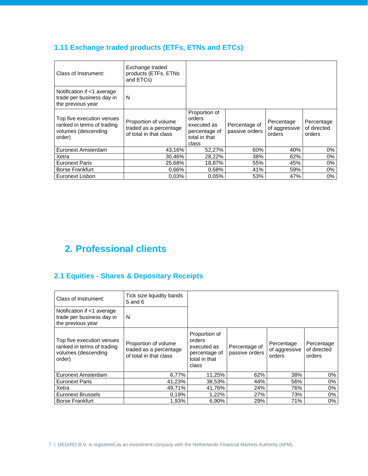# <span id="page-6-0"></span>**1.11 Exchange traded products (ETFs, ETNs and ETCs)**

| Class of Instrument:                                                                     | Exchange traded<br>products (ETFs, ETNs<br>and ETCs)                     |                                                                                   |                                 |                                       |                                     |
|------------------------------------------------------------------------------------------|--------------------------------------------------------------------------|-----------------------------------------------------------------------------------|---------------------------------|---------------------------------------|-------------------------------------|
| Notification if <1 average<br>trade per business day in<br>the previous year             | N                                                                        |                                                                                   |                                 |                                       |                                     |
| Top five execution venues<br>ranked in terms of trading<br>volumes (descending<br>order) | Proportion of volume<br>traded as a percentage<br>of total in that class | Proportion of<br>orders<br>executed as<br>percentage of<br>total in that<br>class | Percentage of<br>passive orders | Percentage<br>of aggressive<br>orders | Percentage<br>of directed<br>orders |
| Euronext Amsterdam                                                                       | 43,16%                                                                   | 52,27%                                                                            | 60%                             | 40%                                   | $0\%$                               |
| Xetra                                                                                    | 30.46%                                                                   | 28,22%                                                                            | 38%                             | 62%                                   | 0%                                  |
| <b>Euronext Paris</b>                                                                    | 25.68%                                                                   | 18.87%                                                                            | 55%                             | 45%                                   | 0%                                  |
| <b>Borse Frankfurt</b>                                                                   | 0.66%                                                                    | 0.58%                                                                             | 41%                             | 59%                                   | $0\%$                               |
| Euronext Lisbon                                                                          | 0.03%                                                                    | 0.05%                                                                             | 53%                             | 47%                                   | 0%                                  |

# <span id="page-6-1"></span>**2. Professional clients**

# <span id="page-6-2"></span>**2.1 Equities - Shares & Depositary Receipts**

| Class of Instrument:                                                                     | Tick size liquidity bands<br>$5$ and $6$                                 |                                                                                   |                                 |                                       |                                     |
|------------------------------------------------------------------------------------------|--------------------------------------------------------------------------|-----------------------------------------------------------------------------------|---------------------------------|---------------------------------------|-------------------------------------|
| Notification if <1 average<br>trade per business day in<br>the previous year             | N                                                                        |                                                                                   |                                 |                                       |                                     |
| Top five execution venues<br>ranked in terms of trading<br>volumes (descending<br>order) | Proportion of volume<br>traded as a percentage<br>of total in that class | Proportion of<br>orders<br>executed as<br>percentage of<br>total in that<br>class | Percentage of<br>passive orders | Percentage<br>of aggressive<br>orders | Percentage<br>of directed<br>orders |
| Euronext Amsterdam                                                                       | 6,77%                                                                    | 11,25%                                                                            | 62%                             | 38%                                   | 0%                                  |
| <b>Euronext Paris</b>                                                                    | 41,23%                                                                   | 38,53%                                                                            | 44%                             | 56%                                   | 0%                                  |
| Xetra                                                                                    | 49.71%                                                                   | 41.76%                                                                            | 24%                             | 76%                                   | 0%                                  |
| <b>Euronext Brussels</b>                                                                 | 0.19%                                                                    | 1,22%                                                                             | 27%                             | 73%                                   | 0%                                  |
| <b>Borse Frankfurt</b>                                                                   | 1,93%                                                                    | 6,90%                                                                             | 29%                             | 71%                                   | 0%                                  |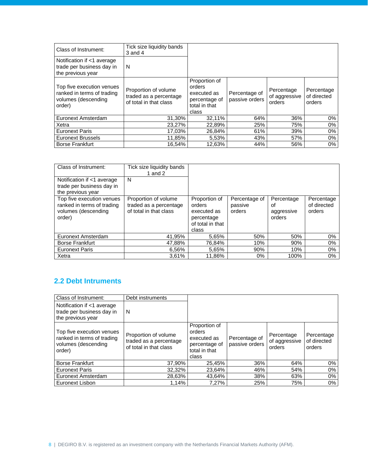| Class of Instrument:                                                                     | Tick size liquidity bands<br>$3$ and $4$                                 |                                                                                   |                                 |                                       |                                     |
|------------------------------------------------------------------------------------------|--------------------------------------------------------------------------|-----------------------------------------------------------------------------------|---------------------------------|---------------------------------------|-------------------------------------|
| Notification if <1 average<br>trade per business day in<br>the previous year             | N                                                                        |                                                                                   |                                 |                                       |                                     |
| Top five execution venues<br>ranked in terms of trading<br>volumes (descending<br>order) | Proportion of volume<br>traded as a percentage<br>of total in that class | Proportion of<br>orders<br>executed as<br>percentage of<br>total in that<br>class | Percentage of<br>passive orders | Percentage<br>of aggressive<br>orders | Percentage<br>of directed<br>orders |
| Euronext Amsterdam                                                                       | 31,30%                                                                   | 32,11%                                                                            | 64%                             | 36%                                   | 0%                                  |
| Xetra                                                                                    | 23,27%                                                                   | 22,89%                                                                            | 25%                             | 75%                                   | 0%                                  |
| <b>Euronext Paris</b>                                                                    | 17,03%                                                                   | 26,84%                                                                            | 61%                             | 39%                                   | 0%                                  |
| <b>Euronext Brussels</b>                                                                 | 11,85%                                                                   | 5,53%                                                                             | 43%                             | 57%                                   | 0%                                  |
| <b>Borse Frankfurt</b>                                                                   | 16.54%                                                                   | 12.63%                                                                            | 44%                             | 56%                                   | 0%                                  |

| Class of Instrument:                                                                     | Tick size liquidity bands<br>1 and $2$                                   |                                                                                   |                                    |                                          |                                     |
|------------------------------------------------------------------------------------------|--------------------------------------------------------------------------|-----------------------------------------------------------------------------------|------------------------------------|------------------------------------------|-------------------------------------|
| Notification if <1 average<br>trade per business day in<br>the previous year             | N                                                                        |                                                                                   |                                    |                                          |                                     |
| Top five execution venues<br>ranked in terms of trading<br>volumes (descending<br>order) | Proportion of volume<br>traded as a percentage<br>of total in that class | Proportion of<br>orders<br>executed as<br>percentage<br>of total in that<br>class | Percentage of<br>passive<br>orders | Percentage<br>οf<br>aggressive<br>orders | Percentage<br>of directed<br>orders |
| Euronext Amsterdam                                                                       | 41,95%                                                                   | 5,65%                                                                             | 50%                                | 50%                                      | 0%                                  |
| <b>Borse Frankfurt</b>                                                                   | 47,88%                                                                   | 76.84%                                                                            | 10%                                | 90%                                      | 0%                                  |
| <b>Euronext Paris</b>                                                                    | 6.56%                                                                    | 5.65%                                                                             | 90%                                | 10%                                      | $0\%$                               |
| Xetra                                                                                    | 3.61%                                                                    | 11.86%                                                                            | $0\%$                              | 100%                                     | 0%                                  |

### <span id="page-7-0"></span>**2.2 Debt Intruments**

| Class of Instrument:                                                                     | Debt instruments                                                         |                                                                                   |                                 |                                       |                                     |
|------------------------------------------------------------------------------------------|--------------------------------------------------------------------------|-----------------------------------------------------------------------------------|---------------------------------|---------------------------------------|-------------------------------------|
| Notification if <1 average<br>trade per business day in<br>the previous year             | N                                                                        |                                                                                   |                                 |                                       |                                     |
| Top five execution venues<br>ranked in terms of trading<br>volumes (descending<br>order) | Proportion of volume<br>traded as a percentage<br>of total in that class | Proportion of<br>orders<br>executed as<br>percentage of<br>total in that<br>class | Percentage of<br>passive orders | Percentage<br>of aggressive<br>orders | Percentage<br>of directed<br>orders |
| <b>Borse Frankfurt</b>                                                                   | 37,90%                                                                   | 25,45%                                                                            | 36%                             | 64%                                   | 0%                                  |
| <b>Euronext Paris</b>                                                                    | 32,32%                                                                   | 23,64%                                                                            | 46%                             | 54%                                   | 0%                                  |
| Euronext Amsterdam                                                                       | 28,63%                                                                   | 43,64%                                                                            | 38%                             | 63%                                   | 0%                                  |
| Euronext Lisbon                                                                          | 1,14%                                                                    | 7,27%                                                                             | 25%                             | 75%                                   | 0%                                  |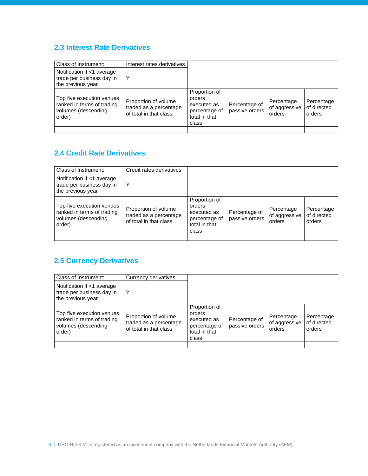#### <span id="page-8-0"></span>**2.3 Interest Rate Derivatives**

| Class of Instrument:                                                                     | Interest rates derivatives                                               |                                                                                   |                                 |                                       |                                     |
|------------------------------------------------------------------------------------------|--------------------------------------------------------------------------|-----------------------------------------------------------------------------------|---------------------------------|---------------------------------------|-------------------------------------|
| Notification if <1 average<br>trade per business day in<br>the previous year             | Υ                                                                        |                                                                                   |                                 |                                       |                                     |
| Top five execution venues<br>ranked in terms of trading<br>volumes (descending<br>order) | Proportion of volume<br>traded as a percentage<br>of total in that class | Proportion of<br>orders<br>executed as<br>percentage of<br>total in that<br>class | Percentage of<br>passive orders | Percentage<br>of aggressive<br>orders | Percentage<br>of directed<br>orders |
|                                                                                          |                                                                          |                                                                                   |                                 |                                       |                                     |

### <span id="page-8-1"></span>**2.4 Credit Rate Derivatives**

| Class of Instrument:                                                                     | Credit rates derivatives                                                 |                                                                                   |                                 |                                       |                                     |
|------------------------------------------------------------------------------------------|--------------------------------------------------------------------------|-----------------------------------------------------------------------------------|---------------------------------|---------------------------------------|-------------------------------------|
| Notification if <1 average<br>trade per business day in<br>the previous year             | Υ                                                                        |                                                                                   |                                 |                                       |                                     |
| Top five execution venues<br>ranked in terms of trading<br>volumes (descending<br>order) | Proportion of volume<br>traded as a percentage<br>of total in that class | Proportion of<br>orders<br>executed as<br>percentage of<br>total in that<br>class | Percentage of<br>passive orders | Percentage<br>of aggressive<br>orders | Percentage<br>of directed<br>orders |
|                                                                                          |                                                                          |                                                                                   |                                 |                                       |                                     |

# <span id="page-8-2"></span>**2.5 Currency Derivatives**

| Class of Instrument:                                                                     | Currency derivatives                                                     |                                                                                   |                                 |                                       |                                     |
|------------------------------------------------------------------------------------------|--------------------------------------------------------------------------|-----------------------------------------------------------------------------------|---------------------------------|---------------------------------------|-------------------------------------|
| Notification if <1 average<br>trade per business day in<br>the previous year             |                                                                          |                                                                                   |                                 |                                       |                                     |
| Top five execution venues<br>ranked in terms of trading<br>volumes (descending<br>order) | Proportion of volume<br>traded as a percentage<br>of total in that class | Proportion of<br>orders<br>executed as<br>percentage of<br>total in that<br>class | Percentage of<br>passive orders | Percentage<br>of aggressive<br>orders | Percentage<br>of directed<br>orders |
|                                                                                          |                                                                          |                                                                                   |                                 |                                       |                                     |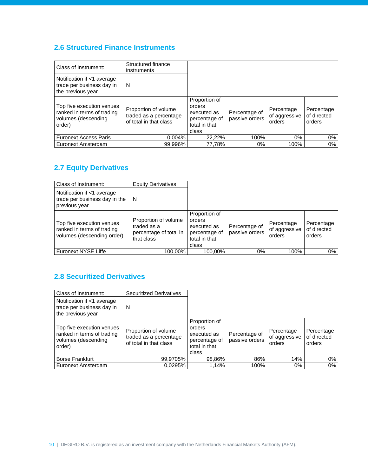### <span id="page-9-0"></span>**2.6 Structured Finance Instruments**

| Class of Instrument:                                                                     | Structured finance<br>instruments                                        |                                                                                   |                                 |                                       |                                     |
|------------------------------------------------------------------------------------------|--------------------------------------------------------------------------|-----------------------------------------------------------------------------------|---------------------------------|---------------------------------------|-------------------------------------|
| Notification if <1 average<br>trade per business day in<br>the previous year             | N                                                                        |                                                                                   |                                 |                                       |                                     |
| Top five execution venues<br>ranked in terms of trading<br>volumes (descending<br>order) | Proportion of volume<br>traded as a percentage<br>of total in that class | Proportion of<br>orders<br>executed as<br>percentage of<br>total in that<br>class | Percentage of<br>passive orders | Percentage<br>of aggressive<br>orders | Percentage<br>of directed<br>orders |
| Euronext Access Paris                                                                    | 0,004%                                                                   | 22,22%                                                                            | 100%                            | $0\%$                                 | $0\%$                               |
| Euronext Amsterdam                                                                       | 99.996%                                                                  | 77,78%                                                                            | 0%                              | 100%                                  | 0%                                  |

#### <span id="page-9-1"></span>**2.7 Equity Derivatives**

| Class of Instrument:                                                                  | <b>Equity Derivatives</b>                                                   |                                                                                   |                                 |                                       |                                     |
|---------------------------------------------------------------------------------------|-----------------------------------------------------------------------------|-----------------------------------------------------------------------------------|---------------------------------|---------------------------------------|-------------------------------------|
| Notification if <1 average<br>trade per business day in the<br>previous year          | N                                                                           |                                                                                   |                                 |                                       |                                     |
| Top five execution venues<br>ranked in terms of trading<br>volumes (descending order) | Proportion of volume<br>traded as a<br>percentage of total in<br>that class | Proportion of<br>orders<br>executed as<br>percentage of<br>total in that<br>class | Percentage of<br>passive orders | Percentage<br>of aggressive<br>orders | Percentage<br>of directed<br>orders |
| Euronext NYSE Liffe                                                                   | 100.00%                                                                     | 100.00%                                                                           | 0%                              | 100%                                  | 0%                                  |

### <span id="page-9-2"></span>**2.8 Securitized Derivatives**

<span id="page-9-3"></span>

| Class of Instrument:                                                                     | <b>Securitized Derivatives</b>                                           |                                                                                   |                                 |                                       |                                     |
|------------------------------------------------------------------------------------------|--------------------------------------------------------------------------|-----------------------------------------------------------------------------------|---------------------------------|---------------------------------------|-------------------------------------|
| Notification if <1 average<br>trade per business day in<br>the previous year             | N                                                                        |                                                                                   |                                 |                                       |                                     |
| Top five execution venues<br>ranked in terms of trading<br>volumes (descending<br>order) | Proportion of volume<br>traded as a percentage<br>of total in that class | Proportion of<br>orders<br>executed as<br>percentage of<br>total in that<br>class | Percentage of<br>passive orders | Percentage<br>of aggressive<br>orders | Percentage<br>of directed<br>orders |
| <b>Borse Frankfurt</b>                                                                   | 99,9705%                                                                 | 98,86%                                                                            | 86%                             | 14%                                   | 0%                                  |
| Euronext Amsterdam                                                                       | 0,0295%                                                                  | 1,14%                                                                             | 100%                            | 0%                                    | 0%                                  |